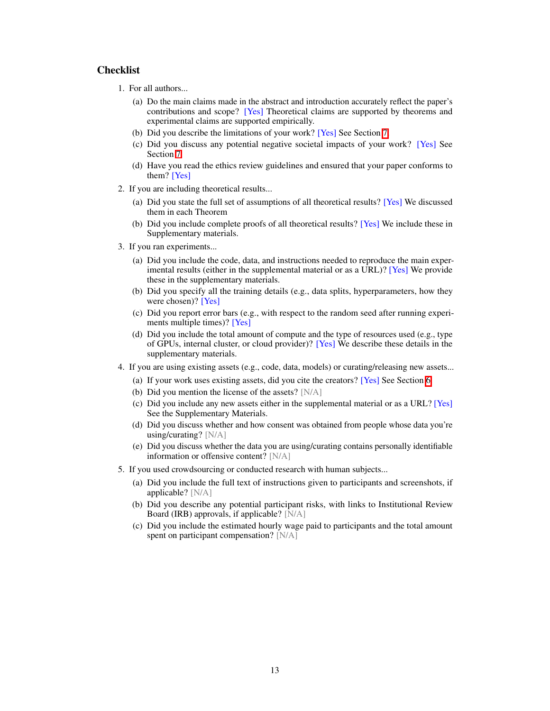## <span id="page-0-1"></span>**Checklist**

- 1. For all authors...
	- (a) Do the main claims made in the abstract and introduction accurately reflect the paper's contributions and scope? [Yes] Theoretical claims are supported by theorems and experimental claims are supported empirically.
	- (b) Did you describe the limitations of your work? [Yes] See Section  $\frac{7}{6}$
	- (c) Did you discuss any potential negative societal impacts of your work? [Yes] See Section [7.](#page-0-0)
	- (d) Have you read the ethics review guidelines and ensured that your paper conforms to them? [Yes]
- 2. If you are including theoretical results...
	- (a) Did you state the full set of assumptions of all theoretical results? [Yes] We discussed them in each Theorem
	- (b) Did you include complete proofs of all theoretical results? [Yes] We include these in Supplementary materials.
- 3. If you ran experiments...
	- (a) Did you include the code, data, and instructions needed to reproduce the main experimental results (either in the supplemental material or as a URL)? [Yes] We provide these in the supplementary materials.
	- (b) Did you specify all the training details (e.g., data splits, hyperparameters, how they were chosen)? [Yes]
	- (c) Did you report error bars (e.g., with respect to the random seed after running experiments multiple times)? [Yes]
	- (d) Did you include the total amount of compute and the type of resources used (e.g., type of GPUs, internal cluster, or cloud provider)? [Yes] We describe these details in the supplementary materials.
- <span id="page-0-2"></span><span id="page-0-0"></span>4. If you are using existing assets (e.g., code, data, models) or curating/releasing new assets...
	- (a) If your work uses existing assets, did you cite the creators? [Yes] See Section  $\overline{6}$ .
	- (b) Did you mention the license of the assets? [N/A]
	- (c) Did you include any new assets either in the supplemental material or as a URL? [Yes] See the Supplementary Materials.
	- (d) Did you discuss whether and how consent was obtained from people whose data you're using/curating? [N/A]
	- (e) Did you discuss whether the data you are using/curating contains personally identifiable information or offensive content? [N/A]
- 5. If you used crowdsourcing or conducted research with human subjects...
	- (a) Did you include the full text of instructions given to participants and screenshots, if applicable? [N/A]
	- (b) Did you describe any potential participant risks, with links to Institutional Review Board (IRB) approvals, if applicable? [N/A]
	- (c) Did you include the estimated hourly wage paid to participants and the total amount spent on participant compensation? [N/A]